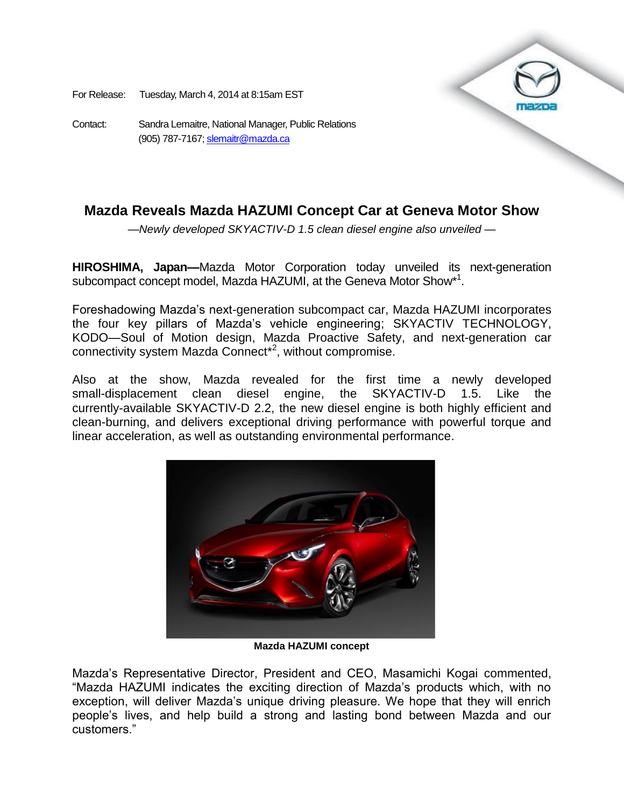For Release: Tuesday, March 4, 2014 at 8:15am EST

Contact: Sandra Lemaitre, National Manager, Public Relations (905) 787-7167[; slemaitr@mazda.ca](mailto:slemaitr@mazda.ca)

## **Mazda Reveals Mazda HAZUMI Concept Car at Geneva Motor Show**

*—Newly developed SKYACTIV-D 1.5 clean diesel engine also unveiled —*

**HIROSHIMA, Japan—**Mazda Motor Corporation today unveiled its next-generation subcompact concept model, Mazda HAZUMI, at the Geneva Motor Show\*<sup>1</sup>.

Foreshadowing Mazda's next-generation subcompact car, Mazda HAZUMI incorporates the four key pillars of Mazda's vehicle engineering; SKYACTIV TECHNOLOGY, KODO—Soul of Motion design, Mazda Proactive Safety, and next-generation car connectivity system Mazda Connect<sup>\*2</sup>, without compromise.

Also at the show, Mazda revealed for the first time a newly developed small-displacement clean diesel engine, the SKYACTIV-D 1.5. Like the currently-available SKYACTIV-D 2.2, the new diesel engine is both highly efficient and clean-burning, and delivers exceptional driving performance with powerful torque and linear acceleration, as well as outstanding environmental performance.



**Mazda HAZUMI concept**

Mazda's Representative Director, President and CEO, Masamichi Kogai commented, "Mazda HAZUMI indicates the exciting direction of Mazda's products which, with no exception, will deliver Mazda's unique driving pleasure. We hope that they will enrich people's lives, and help build a strong and lasting bond between Mazda and our customers."